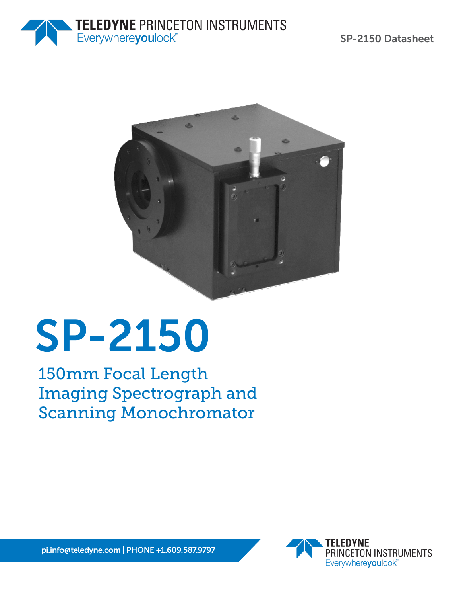



# SP-2150

150mm Focal Length Imaging Spectrograph and Scanning Monochromator



pi.info@teledyne.com | PHONE +1.609.587.9797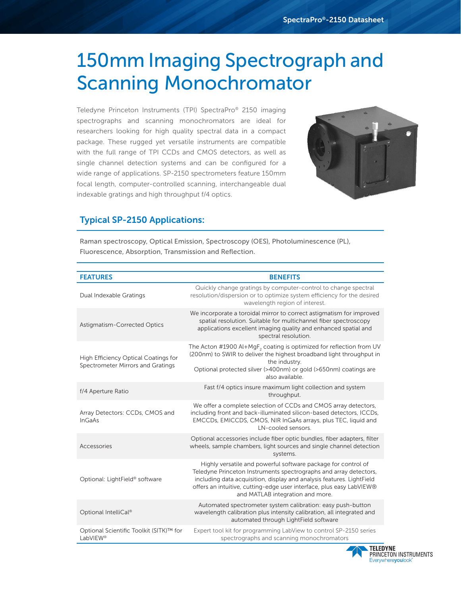# 150mm Imaging Spectrograph and Scanning Monochromator

Teledyne Princeton Instruments (TPI) SpectraPro® 2150 imaging spectrographs and scanning monochromators are ideal for researchers looking for high quality spectral data in a compact package. These rugged yet versatile instruments are compatible with the full range of TPI CCDs and CMOS detectors, as well as single channel detection systems and can be configured for a wide range of applications. SP-2150 spectrometers feature 150mm focal length, computer-controlled scanning, interchangeable dual indexable gratings and high throughput f/4 optics.



#### Typical SP-2150 Applications:

Raman spectroscopy, Optical Emission, Spectroscopy (OES), Photoluminescence (PL), Fluorescence, Absorption, Transmission and Reflection.

| <b>FEATURES</b>                                                           | <b>BENEFITS</b>                                                                                                                                                                                                                                                                                                         |
|---------------------------------------------------------------------------|-------------------------------------------------------------------------------------------------------------------------------------------------------------------------------------------------------------------------------------------------------------------------------------------------------------------------|
| Dual Indexable Gratings                                                   | Quickly change gratings by computer-control to change spectral<br>resolution/dispersion or to optimize system efficiency for the desired<br>wavelength region of interest.                                                                                                                                              |
| Astigmatism-Corrected Optics                                              | We incorporate a toroidal mirror to correct astigmatism for improved<br>spatial resolution. Suitable for multichannel fiber spectroscopy<br>applications excellent imaging quality and enhanced spatial and<br>spectral resolution.                                                                                     |
| High Efficiency Optical Coatings for<br>Spectrometer Mirrors and Gratings | The Acton #1900 Al+MgF <sub>2</sub> coating is optimized for reflection from UV<br>(200nm) to SWIR to deliver the highest broadband light throughput in<br>the industry.<br>Optional protected silver (>400nm) or gold (>650nm) coatings are<br>also available.                                                         |
| f/4 Aperture Ratio                                                        | Fast f/4 optics insure maximum light collection and system<br>throughput.                                                                                                                                                                                                                                               |
| Array Detectors: CCDs, CMOS and<br>InGaAs                                 | We offer a complete selection of CCDs and CMOS array detectors,<br>including front and back-illuminated silicon-based detectors, ICCDs,<br>EMCCDs, EMICCDS, CMOS, NIR InGaAs arrays, plus TEC, liquid and<br>LN-cooled sensors.                                                                                         |
| Accessories                                                               | Optional accessories include fiber optic bundles, fiber adapters, filter<br>wheels, sample chambers, light sources and single channel detection<br>systems.                                                                                                                                                             |
| Optional: LightField® software                                            | Highly versatile and powerful software package for control of<br>Teledyne Princeton Instruments spectrographs and array detectors,<br>including data acquisition, display and analysis features. LightField<br>offers an intuitive, cutting-edge user interface, plus easy LabVIEW®<br>and MATLAB integration and more. |
| Optional IntelliCal®                                                      | Automated spectrometer system calibration: easy push-button<br>wavelength calibration plus intensity calibration, all integrated and<br>automated through LightField software                                                                                                                                           |
| Optional Scientific Toolkit (SITK)™ for<br>LabVIEW <sup>®</sup>           | Expert tool kit for programming LabView to control SP-2150 series<br>spectrographs and scanning monochromators                                                                                                                                                                                                          |

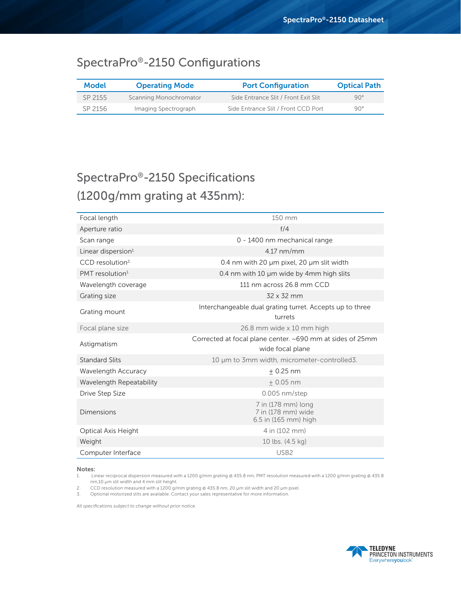### SpectraPro®-2150 Configurations

| <b>Model</b> | <b>Operating Mode</b>  | <b>Port Configuration</b>            | <b>Optical Path</b> |
|--------------|------------------------|--------------------------------------|---------------------|
| SP 2155      | Scanning Monochromator | Side Entrance Slit / Front Exit Slit | $90^\circ$          |
| SP 2156      | Imaging Spectrograph   | Side Entrance Slit / Front CCD Port  | $90^{\circ}$        |

## SpectraPro®-2150 Specifications (1200g/mm grating at 435nm):

| Focal length                   | 150 mm                                                                        |  |  |  |
|--------------------------------|-------------------------------------------------------------------------------|--|--|--|
| Aperture ratio                 | f/4                                                                           |  |  |  |
| Scan range                     | 0 - 1400 nm mechanical range                                                  |  |  |  |
| Linear dispersion <sup>1</sup> | $4.17$ nm/mm                                                                  |  |  |  |
| CCD resolution <sup>2</sup>    | 0.4 nm with 20 µm pixel, 20 µm slit width                                     |  |  |  |
| PMT resolution <sup>1</sup>    | 0.4 nm with 10 µm wide by 4mm high slits                                      |  |  |  |
| Wavelength coverage            | 111 nm across 26.8 mm CCD                                                     |  |  |  |
| Grating size                   | 32 x 32 mm                                                                    |  |  |  |
| Grating mount                  | Interchangeable dual grating turret. Accepts up to three<br>turrets           |  |  |  |
| Focal plane size               | 26.8 mm wide x 10 mm high                                                     |  |  |  |
| Astigmatism                    | Corrected at focal plane center. ~690 mm at sides of 25mm<br>wide focal plane |  |  |  |
| <b>Standard Slits</b>          | 10 µm to 3mm width, micrometer-controlled3.                                   |  |  |  |
| Wavelength Accuracy            | $+0.25$ nm                                                                    |  |  |  |
| Wavelength Repeatability       | $+0.05$ nm                                                                    |  |  |  |
| Drive Step Size                | $0.005$ nm/step                                                               |  |  |  |
| Dimensions                     | 7 in (178 mm) long<br>7 in (178 mm) wide<br>6.5 in (165 mm) high              |  |  |  |
| Optical Axis Height            | 4 in (102 mm)                                                                 |  |  |  |
| Weight                         | 10 lbs. (4.5 kg)                                                              |  |  |  |
| Computer Interface             | USB <sub>2</sub>                                                              |  |  |  |

Notes:

1. Linear reciprocal dispersion measured with a 1200 g/mm grating @ 435.8 nm, PMT resolution measured with a 1200 g/mm grating @ 435.8 nm,10 µm slit width and 4 mm slit height.

2. CCD resolution measured with a 1200 g/mm grating @ 435.8 nm, 20 µm slit width and 20 µm pixel.

3. Optional motorized slits are available. Contact your sales representative for more information.

*All specifications subject to change without prior notice.*

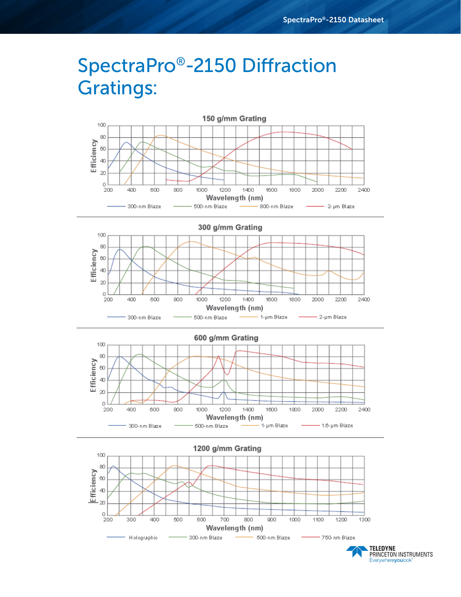# SpectraPro®-2150 Diffraction Gratings:









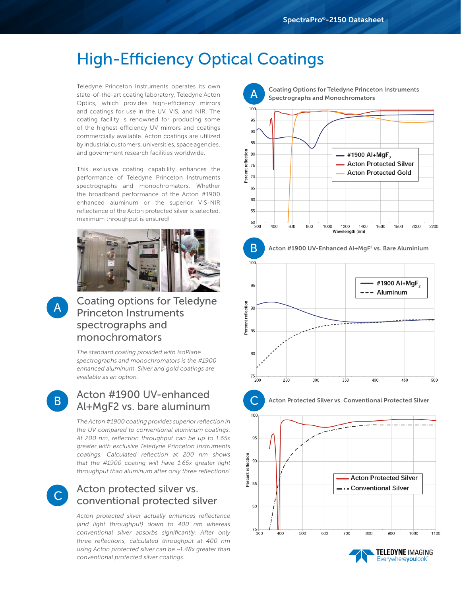## High-Efficiency Optical Coatings

Teledyne Princeton Instruments operates its own state-of-the-art coating laboratory, Teledyne Acton Optics, which provides high-efficiency mirrors and coatings for use in the UV, VIS, and NIR. The coating facility is renowned for producing some of the highest-efficiency UV mirrors and coatings commercially available. Acton coatings are utilized by industrial customers, universities, space agencies, and government research facilities worldwide.

This exclusive coating capability enhances the performance of Teledyne Princeton Instruments spectrographs and monochromators. Whether the broadband performance of the Acton #1900 enhanced aluminum or the superior VIS-NIR reflectance of the Acton protected silver is selected, maximum throughput is ensured!



### Coating options for Teledyne Princeton Instruments spectrographs and monochromators

*The standard coating provided with IsoPlane spectrographs and monochromators is the #1900 enhanced aluminum. Silver and gold coatings are available as an option.*

B

A

### Acton #1900 UV-enhanced Al+MgF2 vs. bare aluminum

*The Acton #1900 coating provides superior reflection in the UV compared to conventional aluminum coatings. At 200 nm, reflection throughput can be up to 1.65x greater with exclusive Teledyne Princeton Instruments coatings. Calculated reflection at 200 nm shows that the #1900 coating will have 1.65x greater light throughput than aluminum after only three reflections!*



#### Acton protected silver vs. conventional protected silver

*Acton protected silver actually enhances reflectance (and light throughput) down to 400 nm whereas conventional silver absorbs significantly. After only three reflections, calculated throughput at 400 nm using Acton protected silver can be ~1.48x greater than conventional protected silver coatings.*

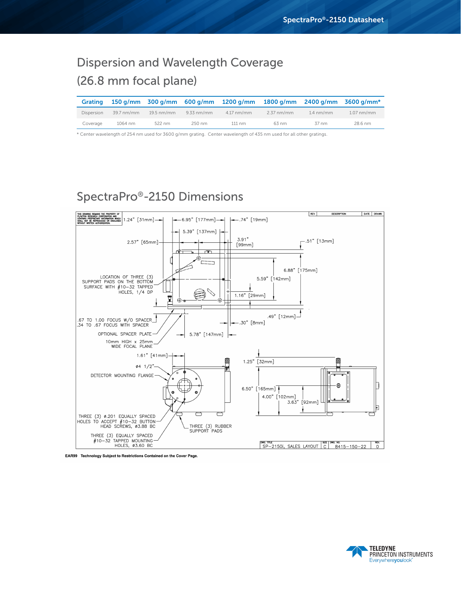## Dispersion and Wavelength Coverage (26.8 mm focal plane)

| <b>Grating</b> |            |              |              | 150 g/mm $\frac{300 \text{ q/mm}}{600 \text{ q/mm}}$ 1200 g/mm $\frac{1800 \text{ q/mm}}{1800 \text{ q/mm}}$ 2400 g/mm $\frac{3600 \text{ q/mm}}{1800 \text{ q/mm}}$ |              |                     |              |
|----------------|------------|--------------|--------------|----------------------------------------------------------------------------------------------------------------------------------------------------------------------|--------------|---------------------|--------------|
| Dispersion     | 39.7 nm/mm | $19.5$ nm/mm | $9.33$ nm/mm | $4.17 \text{ nm/mm}$                                                                                                                                                 | $2.37$ nm/mm | $1.4 \text{ nm/mm}$ | $1.07$ nm/mm |
| Coverage       | 1064 nm    | 522 nm       | 250 nm       | $111 \text{ nm}$                                                                                                                                                     | 63 nm        | 37 nm               | 28.6 nm      |

\* Center wavelength of 254 nm used for 3600 g/mm grating. Center wavelength of 435 nm used for all other gratings.

## SpectraPro®-2150 Dimensions



EAR99 Technology Subject to Restrictions Contained on the Cover Page.